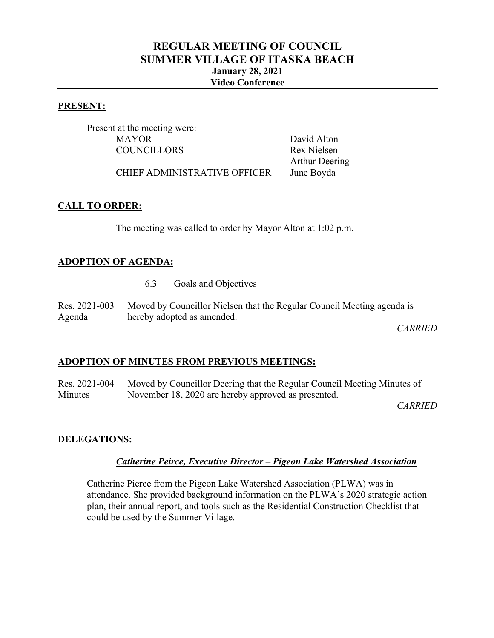# **REGULAR MEETING OF COUNCIL SUMMER VILLAGE OF ITASKA BEACH January 28, 2021 Video Conference**

#### **PRESENT:**

Present at the meeting were: MAYOR David Alton COUNCILLORS Rex Nielsen

Arthur Deering

CHIEF ADMINISTRATIVE OFFICER June Boyda

# **CALL TO ORDER:**

The meeting was called to order by Mayor Alton at 1:02 p.m.

# **ADOPTION OF AGENDA:**

6.3 Goals and Objectives

|        | Res. 2021-003 Moved by Councillor Nielsen that the Regular Council Meeting agenda is |
|--------|--------------------------------------------------------------------------------------|
| Agenda | hereby adopted as amended.                                                           |

*CARRIED*

# **ADOPTION OF MINUTES FROM PREVIOUS MEETINGS:**

Res. 2021-004 Minutes Moved by Councillor Deering that the Regular Council Meeting Minutes of November 18, 2020 are hereby approved as presented.

*CARRIED*

#### **DELEGATIONS:**

#### *Catherine Peirce, Executive Director – Pigeon Lake Watershed Association*

Catherine Pierce from the Pigeon Lake Watershed Association (PLWA) was in attendance. She provided background information on the PLWA's 2020 strategic action plan, their annual report, and tools such as the Residential Construction Checklist that could be used by the Summer Village.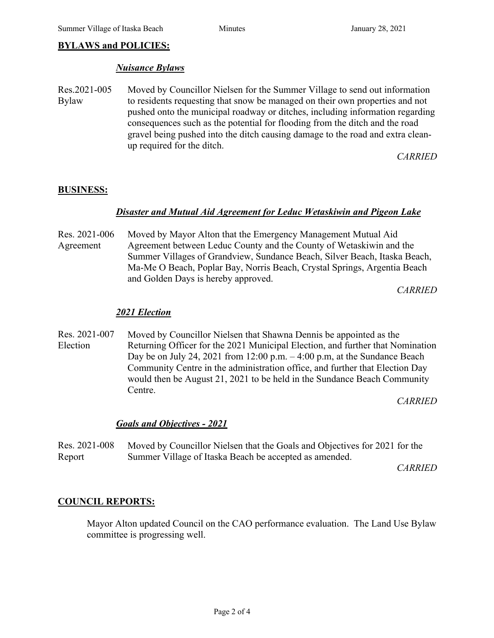# **BYLAWS and POLICIES:**

#### *Nuisance Bylaws*

Res.2021-005 Bylaw Moved by Councillor Nielsen for the Summer Village to send out information to residents requesting that snow be managed on their own properties and not pushed onto the municipal roadway or ditches, including information regarding consequences such as the potential for flooding from the ditch and the road gravel being pushed into the ditch causing damage to the road and extra cleanup required for the ditch.

*CARRIED*

#### **BUSINESS:**

#### *Disaster and Mutual Aid Agreement for Leduc Wetaskiwin and Pigeon Lake*

Res. 2021-006 Agreement Moved by Mayor Alton that the Emergency Management Mutual Aid Agreement between Leduc County and the County of Wetaskiwin and the Summer Villages of Grandview, Sundance Beach, Silver Beach, Itaska Beach, Ma-Me O Beach, Poplar Bay, Norris Beach, Crystal Springs, Argentia Beach and Golden Days is hereby approved.

*CARRIED*

#### *2021 Election*

Res. 2021-007 Election Moved by Councillor Nielsen that Shawna Dennis be appointed as the Returning Officer for the 2021 Municipal Election, and further that Nomination Day be on July 24, 2021 from 12:00 p.m. – 4:00 p.m, at the Sundance Beach Community Centre in the administration office, and further that Election Day would then be August 21, 2021 to be held in the Sundance Beach Community Centre.

*CARRIED*

#### *Goals and Objectives - 2021*

Res. 2021-008 Report Moved by Councillor Nielsen that the Goals and Objectives for 2021 for the Summer Village of Itaska Beach be accepted as amended.

*CARRIED*

#### **COUNCIL REPORTS:**

Mayor Alton updated Council on the CAO performance evaluation. The Land Use Bylaw committee is progressing well.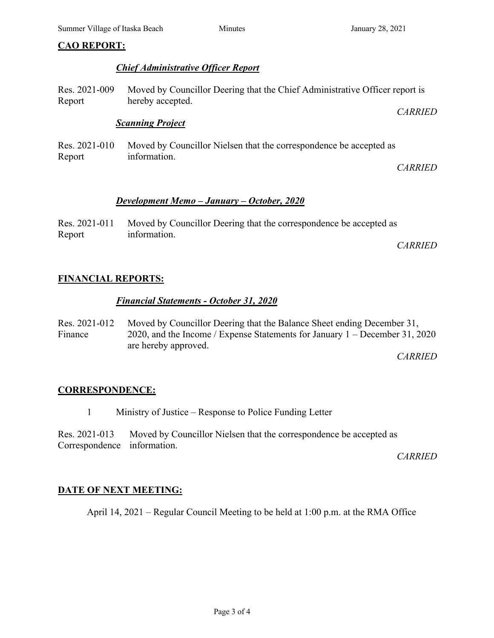# **CAO REPORT:**

# *Chief Administrative Officer Report*

Res. 2021-009 Report Moved by Councillor Deering that the Chief Administrative Officer report is hereby accepted. *CARRIED*

### *Scanning Project*

Res. 2021-010 Report Moved by Councillor Nielsen that the correspondence be accepted as information.

*CARRIED*

# *Development Memo – January – October, 2020*

|        | Res. 2021-011 Moved by Councillor Deering that the correspondence be accepted as |  |
|--------|----------------------------------------------------------------------------------|--|
| Report | information.                                                                     |  |
|        |                                                                                  |  |

*CARRIED*

# **FINANCIAL REPORTS:**

# *Financial Statements - October 31, 2020*

Res. 2021-012 Finance Moved by Councillor Deering that the Balance Sheet ending December 31, 2020, and the Income / Expense Statements for January 1 – December 31, 2020 are hereby approved.

*CARRIED*

#### **CORRESPONDENCE:**

1 Ministry of Justice – Response to Police Funding Letter

Res. 2021-013 Correspondence information. Moved by Councillor Nielsen that the correspondence be accepted as

*CARRIED*

# **DATE OF NEXT MEETING:**

April 14, 2021 – Regular Council Meeting to be held at 1:00 p.m. at the RMA Office